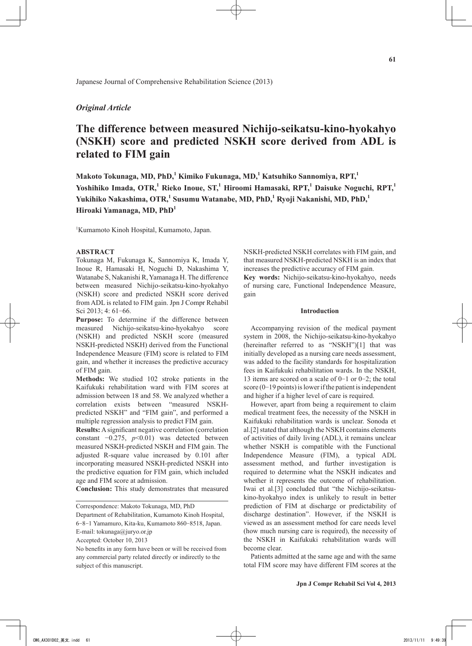# *Original Article*

# **The difference between measured Nichijo-seikatsu-kino-hyokahyo (NSKH) score and predicted NSKH score derived from ADL is related to FIM gain**

**Makoto Tokunaga, MD, PhD,<sup>1</sup> Kimiko Fukunaga, MD,<sup>1</sup> Katsuhiko Sannomiya, RPT,1** Yoshihiko Imada, OTR,<sup>1</sup> Rieko Inoue, ST,<sup>1</sup> Hiroomi Hamasaki, RPT,<sup>1</sup> Daisuke Noguchi, RPT,<sup>1</sup> **Yukihiko Nakashima, OTR,<sup>1</sup> Susumu Watanabe, MD, PhD,<sup>1</sup> Ryoji Nakanishi, MD, PhD,<sup>1</sup> Hiroaki Yamanaga, MD, PhD<sup>1</sup>**

1 Kumamoto Kinoh Hospital, Kumamoto, Japan.

## **ABSTRACT**

Tokunaga M, Fukunaga K, Sannomiya K, Imada Y, Inoue R, Hamasaki H, Noguchi D, Nakashima Y, Watanabe S, Nakanishi R, Yamanaga H. The difference between measured Nichijo-seikatsu-kino-hyokahyo (NSKH) score and predicted NSKH score derived from ADL is related to FIM gain. Jpn J Compr Rehabil Sci 2013: 4: 61-66.

**Purpose:** To determine if the difference between measured Nichijo-seikatsu-kino-hyokahyo score (NSKH) and predicted NSKH score (measured NSKH-predicted NSKH) derived from the Functional Independence Measure (FIM) score is related to FIM gain, and whether it increases the predictive accuracy of FIM gain.

**Methods:** We studied 102 stroke patients in the Kaifukuki rehabilitation ward with FIM scores at admission between 18 and 58. We analyzed whether a correlation exists between "measured NSKHpredicted NSKH" and "FIM gain", and performed a multiple regression analysis to predict FIM gain.

**Results:** A significant negative correlation (correlation constant −0.275, *p*<0.01) was detected between measured NSKH-predicted NSKH and FIM gain. The adjusted R-square value increased by 0.101 after incorporating measured NSKH-predicted NSKH into the predictive equation for FIM gain, which included age and FIM score at admission.

**Conclusion:** This study demonstrates that measured

Correspondence: Makoto Tokunaga, MD, PhD

Department of Rehabilitation, Kumamoto Kinoh Hospital,

6-8-1 Yamamuro, Kita-ku, Kumamoto 860-8518, Japan. E-mail: tokunaga@juryo.or.jp

Accepted: October 10, 2013

No benefits in any form have been or will be received from any commercial party related directly or indirectly to the subject of this manuscript.

NSKH-predicted NSKH correlates with FIM gain, and that measured NSKH-predicted NSKH is an index that increases the predictive accuracy of FIM gain.

**Key words:** Nichijo-seikatsu-kino-hyokahyo, needs of nursing care, Functional Independence Measure, gain

#### **Introduction**

Accompanying revision of the medical payment system in 2008, the Nichijo-seikatsu-kino-hyokahyo (hereinafter referred to as "NSKH")[1] that was initially developed as a nursing care needs assessment, was added to the facility standards for hospitalization fees in Kaifukuki rehabilitation wards. In the NSKH, 13 items are scored on a scale of 0-1 or 0-2; the total score (0-19 points) is lower if the patient is independent and higher if a higher level of care is required.

However, apart from being a requirement to claim medical treatment fees, the necessity of the NSKH in Kaifukuki rehabilitation wards is unclear. Sonoda et al.[2] stated that although the NSKH contains elements of activities of daily living (ADL), it remains unclear whether NSKH is compatible with the Functional Independence Measure (FIM), a typical ADL assessment method, and further investigation is required to determine what the NSKH indicates and whether it represents the outcome of rehabilitation. Iwai et al.[3] concluded that "the Nichijo-seikatsukino-hyokahyo index is unlikely to result in better prediction of FIM at discharge or predictability of discharge destination". However, if the NSKH is viewed as an assessment method for care needs level (how much nursing care is required), the necessity of the NSKH in Kaifukuki rehabilitation wards will become clear.

Patients admitted at the same age and with the same total FIM score may have different FIM scores at the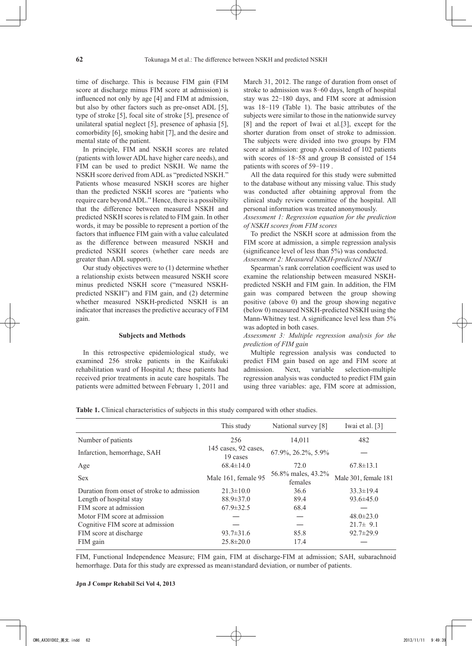time of discharge. This is because FIM gain (FIM score at discharge minus FIM score at admission) is influenced not only by age [4] and FIM at admission, but also by other factors such as pre-onset ADL [5], type of stroke [5], focal site of stroke [5], presence of unilateral spatial neglect [5], presence of aphasia [5], comorbidity [6], smoking habit [7], and the desire and mental state of the patient.

In principle, FIM and NSKH scores are related (patients with lower ADL have higher care needs), and FIM can be used to predict NSKH. We name the NSKH score derived from ADL as "predicted NSKH." Patients whose measured NSKH scores are higher than the predicted NSKH scores are "patients who require care beyond ADL." Hence, there is a possibility that the difference between measured NSKH and predicted NSKH scores is related to FIM gain. In other words, it may be possible to represent a portion of the factors that influence FIM gain with a value calculated as the difference between measured NSKH and predicted NSKH scores (whether care needs are greater than ADL support).

Our study objectives were to (1) determine whether a relationship exists between measured NSKH score minus predicted NSKH score ("measured NSKHpredicted NSKH") and FIM gain, and (2) determine whether measured NSKH-predicted NSKH is an indicator that increases the predictive accuracy of FIM gain.

#### **Subjects and Methods**

In this retrospective epidemiological study, we examined 256 stroke patients in the Kaifukuki rehabilitation ward of Hospital A; these patients had received prior treatments in acute care hospitals. The patients were admitted between February 1, 2011 and March 31, 2012. The range of duration from onset of stroke to admission was 8-60 days, length of hospital stay was 22-180 days, and FIM score at admission was 18-119 (Table 1). The basic attributes of the subjects were similar to those in the nationwide survey [8] and the report of Iwai et al.[3], except for the shorter duration from onset of stroke to admission. The subjects were divided into two groups by FIM score at admission: group A consisted of 102 patients with scores of 18-58 and group B consisted of 154 patients with scores of 59-119 .

All the data required for this study were submitted to the database without any missing value. This study was conducted after obtaining approval from the clinical study review committee of the hospital. All personal information was treated anonymously.

*Assessment 1: Regression equation for the prediction of NSKH scores from FIM scores*

To predict the NSKH score at admission from the FIM score at admission, a simple regression analysis (significance level of less than 5%) was conducted. *Assessment 2: Measured NSKH-predicted NSKH*

Spearman's rank correlation coefficient was used to examine the relationship between measured NSKHpredicted NSKH and FIM gain. In addition, the FIM gain was compared between the group showing positive (above 0) and the group showing negative (below 0) measured NSKH-predicted NSKH using the Mann-Whitney test. A significance level less than 5% was adopted in both cases.

*Assessment 3: Multiple regression analysis for the prediction of FIM gain*

Multiple regression analysis was conducted to predict FIM gain based on age and FIM score at admission. Next, variable selection-multiple regression analysis was conducted to predict FIM gain using three variables: age, FIM score at admission,

**Table 1.** Clinical characteristics of subjects in this study compared with other studies.

|                                            | This study                       | National survey [8]           | Iwai et al. [3]      |
|--------------------------------------------|----------------------------------|-------------------------------|----------------------|
| Number of patients                         | 256                              | 14,011                        | 482                  |
| Infarction, hemorrhage, SAH                | 145 cases, 92 cases,<br>19 cases | 67.9%, 26.2%, 5.9%            |                      |
| Age                                        | $68.4 \pm 14.0$                  | 72.0                          | $67.8 \pm 13.1$      |
| <b>Sex</b>                                 | Male 161, female 95              | 56.8% males, 43.2%<br>females | Male 301, female 181 |
| Duration from onset of stroke to admission | $21.3 \pm 10.0$                  | 36.6                          | $33.3 \pm 19.4$      |
| Length of hospital stay                    | $88.9 \pm 37.0$                  | 89.4                          | $93.6 \pm 45.0$      |
| FIM score at admission                     | $67.9 \pm 32.5$                  | 68.4                          |                      |
| Motor FIM score at admission               |                                  |                               | $48.0 \pm 23.0$      |
| Cognitive FIM score at admission           |                                  |                               | $21.7 \pm 9.1$       |
| FIM score at discharge                     | $93.7 \pm 31.6$                  | 85.8                          | $92.7 \pm 29.9$      |
| FIM gain                                   | $25.8 \pm 20.0$                  | 17.4                          |                      |

FIM, Functional Independence Measure; FIM gain, FIM at discharge-FIM at admission; SAH, subarachnoid hemorrhage. Data for this study are expressed as mean±standard deviation, or number of patients.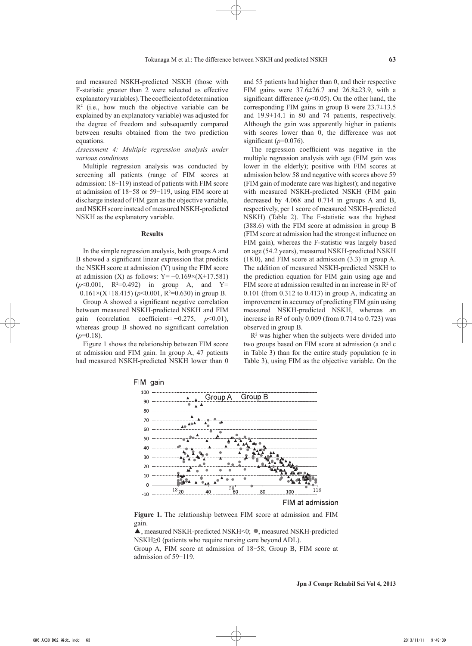and measured NSKH-predicted NSKH (those with F-statistic greater than 2 were selected as effective explanatory variables). The coefficient of determination  $R<sup>2</sup>$  (i.e., how much the objective variable can be explained by an explanatory variable) was adjusted for the degree of freedom and subsequently compared between results obtained from the two prediction equations.

*Assessment 4: Multiple regression analysis under various conditions*

Multiple regression analysis was conducted by screening all patients (range of FIM scores at admission: 18-119) instead of patients with FIM score at admission of 18-58 or 59-119, using FIM score at discharge instead of FIM gain as the objective variable, and NSKH score instead of measured NSKH-predicted NSKH as the explanatory variable.

#### **Results**

In the simple regression analysis, both groups A and B showed a significant linear expression that predicts the NSKH score at admission (Y) using the FIM score at admission (X) as follows:  $Y = -0.169 \times (X + 17.581)$  $(p<0.001, R<sup>2</sup>=0.492)$  in group A, and Y= −0.161×(X+18.415) (*p*<0.001, R<sup>2</sup>=0.630) in group B.

Group A showed a significant negative correlation between measured NSKH-predicted NSKH and FIM gain (correlation coefficient= −0.275, *p*<0.01), whereas group B showed no significant correlation  $(p=0.18)$ .

Figure 1 shows the relationship between FIM score at admission and FIM gain. In group A, 47 patients had measured NSKH-predicted NSKH lower than 0 and 55 patients had higher than 0, and their respective FIM gains were 37.6±26.7 and 26.8±23.9, with a significant difference  $(p<0.05)$ . On the other hand, the corresponding FIM gains in group B were 23.7±13.5 and 19.9±14.1 in 80 and 74 patients, respectively. Although the gain was apparently higher in patients with scores lower than 0, the difference was not significant  $(p=0.076)$ .

The regression coefficient was negative in the multiple regression analysis with age (FIM gain was lower in the elderly); positive with FIM scores at admission below 58 and negative with scores above 59 (FIM gain of moderate care was highest); and negative with measured NSKH-predicted NSKH (FIM gain decreased by 4.068 and 0.714 in groups A and B, respectively, per 1 score of measured NSKH-predicted NSKH) (Table 2). The F-statistic was the highest (388.6) with the FIM score at admission in group B (FIM score at admission had the strongest influence on FIM gain), whereas the F-statistic was largely based on age (54.2 years), measured NSKH-predicted NSKH (18.0), and FIM score at admission (3.3) in group A. The addition of measured NSKH-predicted NSKH to the prediction equation for FIM gain using age and FIM score at admission resulted in an increase in  $\mathbb{R}^2$  of  $0.101$  (from  $0.312$  to  $0.413$ ) in group A, indicating an improvement in accuracy of predicting FIM gain using measured NSKH-predicted NSKH, whereas an increase in  $\mathbb{R}^2$  of only 0.009 (from 0.714 to 0.723) was observed in group B.

 $R<sup>2</sup>$  was higher when the subjects were divided into two groups based on FIM score at admission (a and c in Table 3) than for the entire study population (e in Table 3), using FIM as the objective variable. On the



#### FIM at admission

**Figure 1.** The relationship between FIM score at admission and FIM gain.

▲, measured NSKH-predicted NSKH<0; ◦, measured NSKH-predicted NSKH≥0 (patients who require nursing care beyond ADL).

Group A, FIM score at admission of 18-58; Group B, FIM score at admission of 59-119.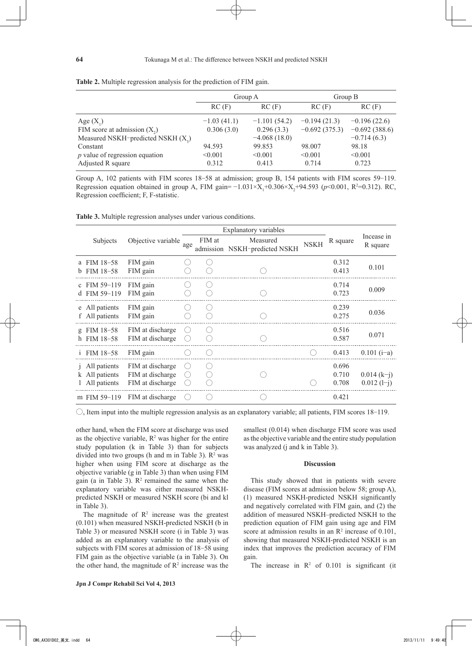|                                      | Group A       |                | Group B         |                 |
|--------------------------------------|---------------|----------------|-----------------|-----------------|
|                                      | RC(F)         | RC(F)          | RC(F)           | RC(F)           |
| Age $(X_1)$                          | $-1.03(41.1)$ | $-1.101(54.2)$ | $-0.194(21.3)$  | $-0.196(22.6)$  |
| FIM score at admission $(X_2)$       | 0.306(3.0)    | 0.296(3.3)     | $-0.692(375.3)$ | $-0.692(388.6)$ |
| Measured NSKH-predicted NSKH $(X_2)$ |               | $-4.068(18.0)$ |                 | $-0.714(6.3)$   |
| Constant                             | 94.593        | 99.853         | 98.007          | 98.18           |
| $p$ value of regression equation     | < 0.001       | < 0.001        | < 0.001         | < 0.001         |
| Adjusted R square                    | 0.312         | 0.413          | 0.714           | 0.723           |

**Table 2.** Multiple regression analysis for the prediction of FIM gain.

Group A, 102 patients with FIM scores 18-58 at admission; group B, 154 patients with FIM scores 59-119. Regression equation obtained in group A, FIM gain= $-1.031 \times X_1 + 0.306 \times X_2 + 94.593$  ( $p < 0.001$ , R<sup>2</sup>=0.312). RC, Regression coefficient; F, F-statistic.

**Table 3.** Multiple regression analyses under various conditions.

|                      | <b>Explanatory variables</b>                 |                                                          |                  |          |                                           |             |                         |                               |
|----------------------|----------------------------------------------|----------------------------------------------------------|------------------|----------|-------------------------------------------|-------------|-------------------------|-------------------------------|
|                      | Subjects                                     | Objective variable                                       | age              | FIM at   | Measured<br>admission NSKH-predicted NSKH | <b>NSKH</b> | R square                | Incease in<br>R square        |
| a<br>b               | FIM 18-58<br>FIM 18-58                       | FIM gain<br>FIM gain                                     |                  |          |                                           |             | 0.312<br>0.413          | 0.101                         |
| $\mathbf{c}$         | FIM 59-119<br>d FIM 59-119                   | FIM gain<br>FIM gain                                     |                  |          |                                           |             | 0.714<br>0.723          | 0.009                         |
|                      | e All patients<br>f All patients             | FIM gain<br>FIM gain                                     |                  |          |                                           |             | 0.239<br>0.275          | 0.036                         |
| $\mathfrak{Q}$<br>h. | FIM 18-58<br>FIM 18-58                       | FIM at discharge<br>FIM at discharge                     | $(\quad)$<br>. . | $\left($ |                                           |             | 0.516<br>0.587          | 0.071                         |
| $\mathbf{1}$         | FIM 18-58                                    | FIM gain                                                 |                  |          |                                           |             | 0.413                   | $0.101$ (i-a)                 |
|                      | All patients<br>All patients<br>All patients | FIM at discharge<br>FIM at discharge<br>FIM at discharge | . .<br>$( \ )$   |          |                                           |             | 0.696<br>0.710<br>0.708 | $0.014(k-i)$<br>$0.012$ (1-j) |
| m                    | FIM 59-119                                   | FIM at discharge                                         |                  |          |                                           |             | 0.421                   |                               |

 $\circ$ , Item input into the multiple regression analysis as an explanatory variable; all patients, FIM scores 18-119.

other hand, when the FIM score at discharge was used as the objective variable,  $R^2$  was higher for the entire study population (k in Table 3) than for subjects divided into two groups (h and m in Table 3).  $\mathbb{R}^2$  was higher when using FIM score at discharge as the objective variable (g in Table 3) than when using FIM gain (a in Table 3).  $\mathbb{R}^2$  remained the same when the explanatory variable was either measured NSKHpredicted NSKH or measured NSKH score (bi and kl in Table 3).

The magnitude of  $\mathbb{R}^2$  increase was the greatest (0.101) when measured NSKH-predicted NSKH (b in Table 3) or measured NSKH score (i in Table 3) was added as an explanatory variable to the analysis of subjects with FIM scores at admission of 18-58 using FIM gain as the objective variable (a in Table 3). On the other hand, the magnitude of  $\mathbb{R}^2$  increase was the smallest (0.014) when discharge FIM score was used as the objective variable and the entire study population was analyzed (j and k in Table 3).

#### **Discussion**

This study showed that in patients with severe disease (FIM scores at admission below 58; group A), (1) measured NSKH-predicted NSKH significantly and negatively correlated with FIM gain, and (2) the addition of measured NSKH–predicted NSKH to the prediction equation of FIM gain using age and FIM score at admission results in an  $\mathbb{R}^2$  increase of 0.101, showing that measured NSKH-predicted NSKH is an index that improves the prediction accuracy of FIM gain.

The increase in  $\mathbb{R}^2$  of 0.101 is significant (it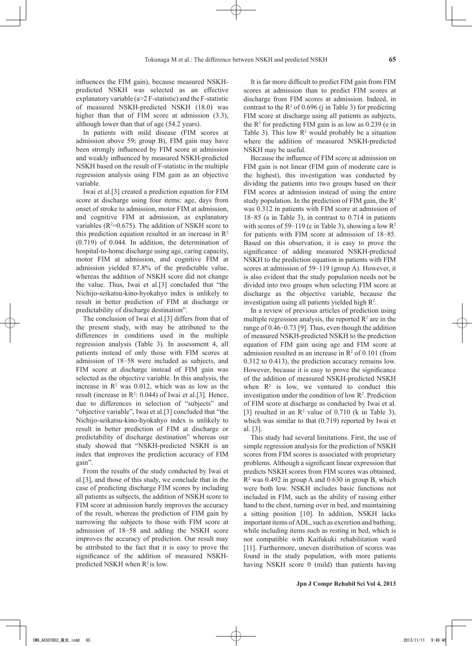influences the FIM gain), because measured NSKHpredicted NSKH was selected as an effective explanatory variable ( $a > 2$  F-statistic) and the F-statistic of measured NSKH-predicted NSKH (18.0) was higher than that of FIM score at admission  $(3.3)$ , although lower than that of age (54.2 years).

In patients with mild disease (FIM scores at admission above 59; group B), FIM gain may have been strongly influenced by FIM score at admission and weakly influenced by measured NSKH-predicted NSKH based on the result of F-statistic in the multiple regression analysis using FIM gain as an objective variable.

Iwai et al.[3] created a prediction equation for FIM score at discharge using four items: age, days from onset of stroke to admission, motor FIM at admission, and cognitive FIM at admission, as explanatory variables ( $R^2$ =0.675). The addition of NSKH score to this prediction equation resulted in an increase in  $\mathbb{R}^2$ (0.719) of 0.044. In addition, the determination of hospital-to-home discharge using age, caring capacity, motor FIM at admission, and cognitive FIM at admission yielded 87.8% of the predictable value, whereas the addition of NSKH score did not change the value. Thus, Iwai et al.[3] concluded that "the Nichijo-seikatsu-kino-hyokahyo index is unlikely to result in better prediction of FIM at discharge or predictability of discharge destination".

The conclusion of Iwai et al.[3] differs from that of the present study, with may be attributed to the differences in conditions used in the multiple regression analysis (Table 3). In assessment 4, all patients instead of only those with FIM scores at admission of 18-58 were included as subjects, and FIM score at discharge instead of FIM gain was selected as the objective variable. In this analysis, the increase in  $\mathbb{R}^2$  was 0.012, which was as low as the result (increase in  $\mathbb{R}^2$ : 0.044) of Iwai et al.[3]. Hence, due to differences in selection of "subjects" and "objective variable", Iwai et al.[3] concluded that "the Nichijo-seikatsu-kino-hyokahyo index is unlikely to result in better prediction of FIM at discharge or predictability of discharge destination" whereas our study showed that "NSKH-predicted NSKH is an index that improves the prediction accuracy of FIM gain".

From the results of the study conducted by Iwai et al.[3], and those of this study, we conclude that in the case of predicting discharge FIM scores by including all patients as subjects, the addition of NSKH score to FIM score at admission barely improves the accuracy of the result, whereas the prediction of FIM gain by narrowing the subjects to those with FIM score at admission of 18-58 and adding the NSKH score improves the accuracy of prediction. Our result may be attributed to the fact that it is easy to prove the significance of the addition of measured NSKHpredicted NSKH when  $R^2$  is low.

It is far more difficult to predict FIM gain from FIM scores at admission than to predict FIM scores at discharge from FIM scores at admission. Indeed, in contrast to the  $\mathbb{R}^2$  of 0.696 (j in Table 3) for predicting FIM score at discharge using all patients as subjects, the  $R<sup>2</sup>$  for predicting FIM gain is as low as 0.239 (e in Table 3). This low  $\mathbb{R}^2$  would probably be a situation where the addition of measured NSKH-predicted NSKH may be useful.

Because the influence of FIM score at admission on FIM gain is not linear (FIM gain of moderate care is the highest), this investigation was conducted by dividing the patients into two groups based on their FIM scores at admission instead of using the entire study population. In the prediction of FIM gain, the  $R^2$ was 0.312 in patients with FIM score at admission of 18-85 (a in Table 3), in contrast to 0.714 in patients with scores of 59-119 (c in Table 3), showing a low  $\mathbb{R}^2$ for patients with FIM score at admission of 18-85. Based on this observation, it is easy to prove the significance of adding measured NSKH-predicted NSKH to the prediction equation in patients with FIM scores at admission of 59-119 (group A). However, it is also evident that the study population needs not be divided into two groups when selecting FIM score at discharge as the objective variable, because the investigation using all patients yielded high  $R^2$ .

In a review of previous articles of prediction using multiple regression analysis, the reported  $\mathbb{R}^2$  are in the range of 0.46-0.73 [9]. Thus, even though the addition of measured NSKH-predicted NSKH to the prediction equation of FIM gain using age and FIM score at admission resulted in an increase in  $\mathbb{R}^2$  of 0.101 (from 0.312 to 0.413), the prediction accuracy remains low. However, because it is easy to prove the significance of the addition of measured NSKH-predicted NSKH when  $\mathbb{R}^2$  is low, we ventured to conduct this investigation under the condition of low  $\mathbb{R}^2$ . Prediction of FIM score at discharge as conducted by Iwai et al. [3] resulted in an  $\mathbb{R}^2$  value of 0.710 (k in Table 3), which was similar to that  $(0.719)$  reported by Iwai et al. [3].

This study had several limitations. First, the use of simple regression analysis for the prediction of NSKH scores from FIM scores is associated with proprietary problems. Although a significant linear expression that predicts NSKH scores from FIM scores was obtained, R2 was 0.492 in group A and 0.630 in group B, which were both low. NSKH includes basic functions not included in FIM, such as the ability of raising either hand to the chest, turning over in bed, and maintaining a sitting position [10]. In addition, NSKH lacks important items of ADL, such as excretion and bathing, while including items such as resting in bed, which is not compatible with Kaifukuki rehabilitation ward [11]. Furthermore, uneven distribution of scores was found in the study population, with more patients having NSKH score 0 (mild) than patients having